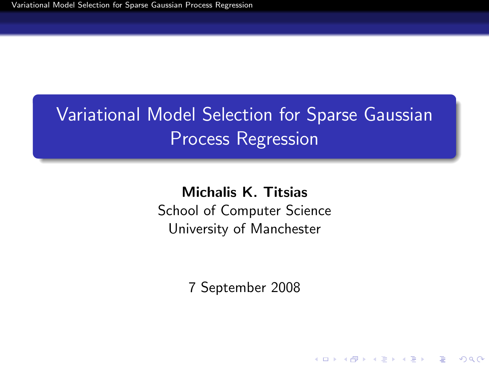# Variational Model Selection for Sparse Gaussian Process Regression

Michalis K. Titsias School of Computer Science University of Manchester

<span id="page-0-0"></span>7 September 2008

K ロ ▶ K @ ▶ K 할 ▶ K 할 ▶ 이 할 → 9 Q @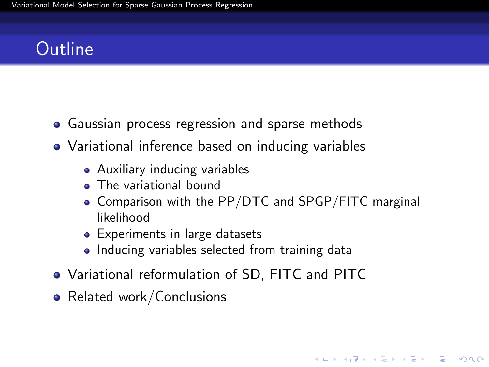# **Outline**

- Gaussian process regression and sparse methods
- Variational inference based on inducing variables
	- Auxiliary inducing variables
	- The variational bound
	- Comparison with the PP/DTC and SPGP/FITC marginal likelihood

**KORK ERKER ADE YOUR** 

- Experiments in large datasets
- Inducing variables selected from training data
- Variational reformulation of SD, FITC and PITC
- Related work/Conclusions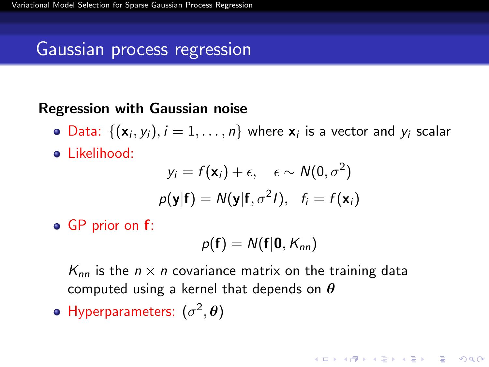### Gaussian process regression

#### Regression with Gaussian noise

- Data:  $\{(\mathbf{x}_i, y_i), i = 1, \ldots, n\}$  where  $\mathbf{x}_i$  is a vector and  $y_i$  scalar
- Likelihood:

$$
y_i = f(\mathbf{x}_i) + \epsilon, \quad \epsilon \sim N(0, \sigma^2)
$$

$$
p(\mathbf{y}|\mathbf{f}) = N(\mathbf{y}|\mathbf{f}, \sigma^2 I), \quad f_i = f(\mathbf{x}_i)
$$

• GP prior on **f**:

$$
p(\mathbf{f})=N(\mathbf{f}|\mathbf{0},K_{nn})
$$

**KORKAR KERKER EL VOLO** 

 $K_{nn}$  is the  $n \times n$  covariance matrix on the training data computed using a kernel that depends on  $\theta$ 

Hyperparameters:  $(\sigma^2, \theta)$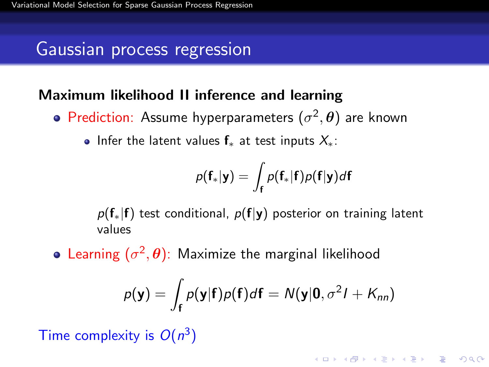#### Gaussian process regression

#### Maximum likelihood II inference and learning

- Prediction: Assume hyperparameters  $(\sigma^2, \theta)$  are known
	- Infer the latent values  $f_*$  at test inputs  $X_*$ :

$$
p(\mathbf{f}_*|\mathbf{y}) = \int_{\mathbf{f}} p(\mathbf{f}_*|\mathbf{f})p(\mathbf{f}|\mathbf{y})d\mathbf{f}
$$

 $p(f_*|f)$  test conditional,  $p(f|y)$  posterior on training latent values

Learning  $(\sigma^2, \theta)$ : Maximize the marginal likelihood

$$
p(\mathbf{y}) = \int_{\mathbf{f}} p(\mathbf{y}|\mathbf{f})p(\mathbf{f})d\mathbf{f} = N(\mathbf{y}|\mathbf{0}, \sigma^2 I + K_{nn})
$$

Time complexity is  $O(n^3)$ 

**KORKAR KERKER EL VOLO**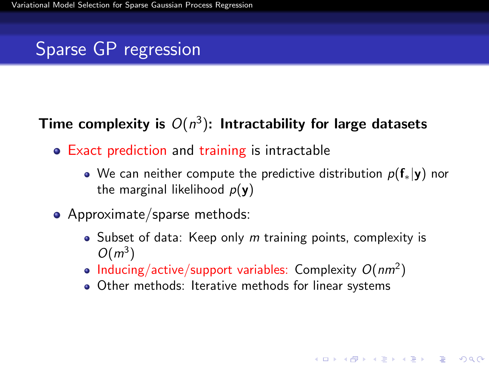### Sparse GP regression

#### Time complexity is  $O(n^3)$ : Intractability for large datasets

- Exact prediction and training is intractable
	- We can neither compute the predictive distribution  $p(f_*|y)$  nor the marginal likelihood  $p(\mathbf{y})$
- Approximate/sparse methods:
	- $\bullet$  Subset of data: Keep only m training points, complexity is  $O(m^3)$

**KORKAR KERKER EL VOLO** 

- Inducing/active/support variables: Complexity  $O(nm^2)$
- Other methods: Iterative methods for linear systems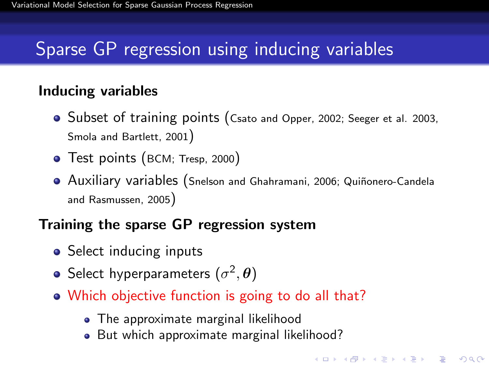### Sparse GP regression using inducing variables

#### Inducing variables

- Subset of training points (Csato and Opper, 2002; Seeger et al. 2003, Smola and Bartlett, 2001)
- Test points (BCM; Tresp, 2000)
- **Auxiliary variables (Snelson and Ghahramani, 2006; Quiñonero-Candela** and Rasmussen, 2005)

**KORK ERKER ADE YOUR** 

#### Training the sparse GP regression system

- Select inducing inputs
- Select hyperparameters  $(\sigma^2, {\bm{\theta}})$
- Which objective function is going to do all that?
	- The approximate marginal likelihood
	- But which approximate marginal likelihood?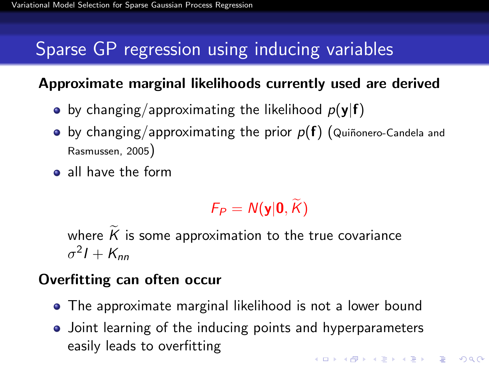# Sparse GP regression using inducing variables

#### Approximate marginal likelihoods currently used are derived

- by changing/approximating the likelihood  $p(y|f)$
- $\bullet$  by changing/approximating the prior  $p(f)$  (Quiñonero-Candela and Rasmussen, 2005)
- all have the form

$$
F_P=N(\mathbf{y}|\mathbf{0},\widetilde{K})
$$

where  $\tilde{K}$  is some approximation to the true covariance  $\sigma^2 I + K_{nn}$ 

#### Overfitting can often occur

- The approximate marginal likelihood is not a lower bound
- Joint learning of the inducing points and hyperparameters easily leads to overfittingKID KA KERKER KID KO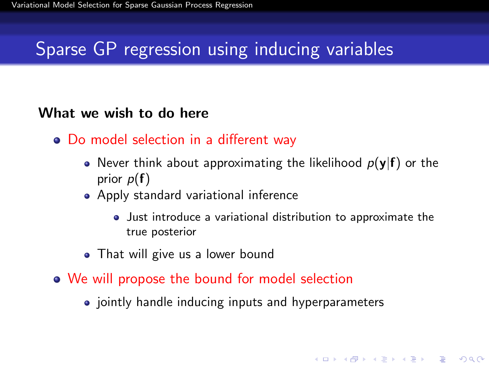### Sparse GP regression using inducing variables

#### What we wish to do here

- Do model selection in a different way
	- Never think about approximating the likelihood  $p(y|f)$  or the prior  $p(f)$
	- Apply standard variational inference
		- Just introduce a variational distribution to approximate the true posterior

**KORKAR KERKER EL VOLO** 

- That will give us a lower bound
- We will propose the bound for model selection
	- jointly handle inducing inputs and hyperparameters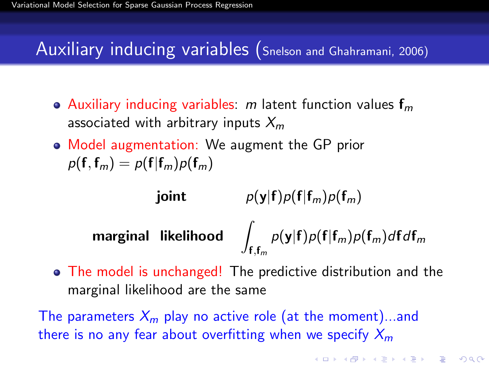### Auxiliary inducing variables (Snelson and Ghahramani, 2006)

- Auxiliary inducing variables: m latent function values  $f_m$ associated with arbitrary inputs  $X_m$
- Model augmentation: We augment the GP prior  $p(\mathbf{f},\mathbf{f}_m) = p(\mathbf{f}|\mathbf{f}_m)p(\mathbf{f}_m)$

joint  $p(y|f)p(f|f_m)p(f_m)$ marginal likelihood |  $\mathbf{f},\mathbf{f}_m$  $p(\mathbf{y}|\mathbf{f})p(\mathbf{f}|\mathbf{f}_m)p(\mathbf{f}_m)d\mathbf{f}d\mathbf{f}_m$ 

The model is unchanged! The predictive distribution and the marginal likelihood are the same

The parameters  $X_m$  play no active role (at the moment)...and there is no any fear about overfitting when we specify  $X_m$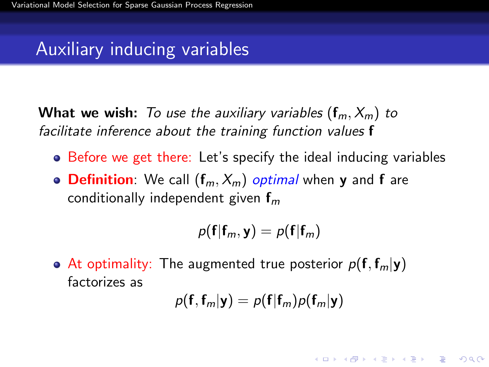### Auxiliary inducing variables

**What we wish:** To use the auxiliary variables  $(f_m, X_m)$  to facilitate inference about the training function values f

- Before we get there: Let's specify the ideal inducing variables
- Definition: We call  $(f_m, X_m)$  optimal when y and f are conditionally independent given  $f_m$

$$
p(\mathbf{f}|\mathbf{f}_m,\mathbf{y})=p(\mathbf{f}|\mathbf{f}_m)
$$

• At optimality: The augmented true posterior  $p(\mathbf{f}, \mathbf{f}_m | \mathbf{y})$ factorizes as

$$
p(\mathbf{f}, \mathbf{f}_m | \mathbf{y}) = p(\mathbf{f} | \mathbf{f}_m) p(\mathbf{f}_m | \mathbf{y})
$$

**KORKAR KERKER EL VOLO**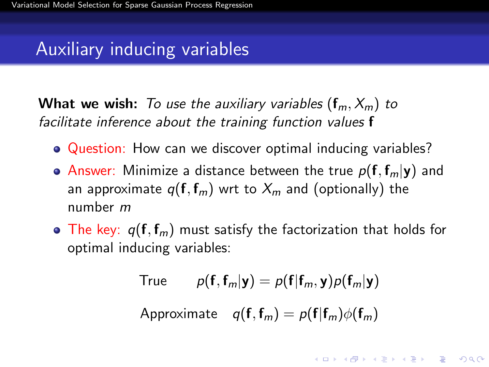### Auxiliary inducing variables

**What we wish:** To use the auxiliary variables  $(f_m, X_m)$  to facilitate inference about the training function values f

- Question: How can we discover optimal inducing variables?
- Answer: Minimize a distance between the true  $p(\mathbf{f}, \mathbf{f}_m | \mathbf{y})$  and an approximate  $q(\mathbf{f}, \mathbf{f}_m)$  wrt to  $X_m$  and (optionally) the number m
- $\bullet$  The key:  $q(\mathbf{f}, \mathbf{f}_m)$  must satisfy the factorization that holds for optimal inducing variables:

True 
$$
p(\mathbf{f}, \mathbf{f}_m | \mathbf{y}) = p(\mathbf{f} | \mathbf{f}_m, \mathbf{y}) p(\mathbf{f}_m | \mathbf{y})
$$

Approximate  $q(f, f_m) = p(f|f_m)\phi(f_m)$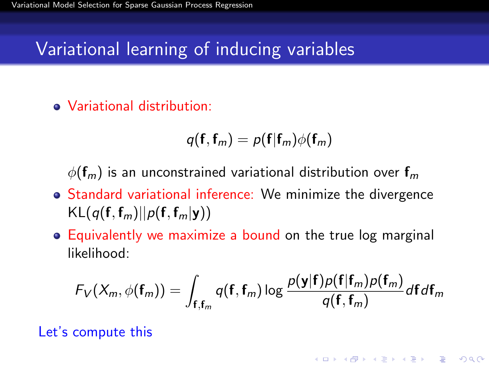### Variational learning of inducing variables

Variational distribution:

$$
q(\mathbf{f}, \mathbf{f}_m) = p(\mathbf{f} | \mathbf{f}_m) \phi(\mathbf{f}_m)
$$

 $\phi(\mathbf{f}_m)$  is an unconstrained variational distribution over  $\mathbf{f}_m$ 

- Standard variational inference: We minimize the divergence  $KL(q(f, f_m)||p(f, f_m|y))$
- Equivalently we maximize a bound on the true log marginal likelihood:

$$
F_V(X_m, \phi(\mathbf{f}_m)) = \int_{\mathbf{f}, \mathbf{f}_m} q(\mathbf{f}, \mathbf{f}_m) \log \frac{p(\mathbf{y}|\mathbf{f})p(\mathbf{f}|\mathbf{f}_m)p(\mathbf{f}_m)}{q(\mathbf{f}, \mathbf{f}_m)} d\mathbf{f} d\mathbf{f}_m
$$

**KORK ERKER ADE YOUR** 

<span id="page-11-0"></span>Let's compute this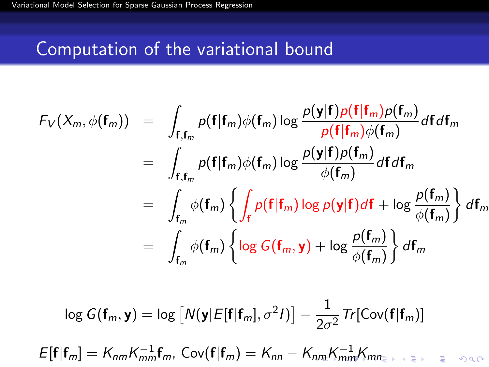### Computation of the variational bound

$$
F_V(X_m, \phi(\mathbf{f}_m)) = \int_{\mathbf{f}, \mathbf{f}_m} p(\mathbf{f} | \mathbf{f}_m) \phi(\mathbf{f}_m) \log \frac{p(\mathbf{y} | \mathbf{f}) p(\mathbf{f} | \mathbf{f}_m) p(\mathbf{f}_m)}{p(\mathbf{f} | \mathbf{f}_m) \phi(\mathbf{f}_m)} d\mathbf{f} d\mathbf{f}_m
$$
  
\n
$$
= \int_{\mathbf{f}, \mathbf{f}_m} p(\mathbf{f} | \mathbf{f}_m) \phi(\mathbf{f}_m) \log \frac{p(\mathbf{y} | \mathbf{f}) p(\mathbf{f}_m)}{\phi(\mathbf{f}_m)} d\mathbf{f} d\mathbf{f}_m
$$
  
\n
$$
= \int_{\mathbf{f}_m} \phi(\mathbf{f}_m) \left\{ \int_{\mathbf{f}} p(\mathbf{f} | \mathbf{f}_m) \log p(\mathbf{y} | \mathbf{f}) d\mathbf{f} + \log \frac{p(\mathbf{f}_m)}{\phi(\mathbf{f}_m)} \right\} d\mathbf{f}_m
$$
  
\n
$$
= \int_{\mathbf{f}_m} \phi(\mathbf{f}_m) \left\{ \log G(\mathbf{f}_m, \mathbf{y}) + \log \frac{p(\mathbf{f}_m)}{\phi(\mathbf{f}_m)} \right\} d\mathbf{f}_m
$$

<span id="page-12-0"></span>
$$
\log G(\mathbf{f}_m, \mathbf{y}) = \log \left[ N(\mathbf{y} | E[\mathbf{f} | \mathbf{f}_m], \sigma^2 I) \right] - \frac{1}{2\sigma^2} \text{Tr}[\text{Cov}(\mathbf{f} | \mathbf{f}_m)]
$$
  

$$
E[\mathbf{f} | \mathbf{f}_m] = K_{nm} K_{mm}^{-1} \mathbf{f}_m, \text{Cov}(\mathbf{f} | \mathbf{f}_m) = K_{nn} - K_{nm} K_{mm}^{-1} K_{mn}.
$$

1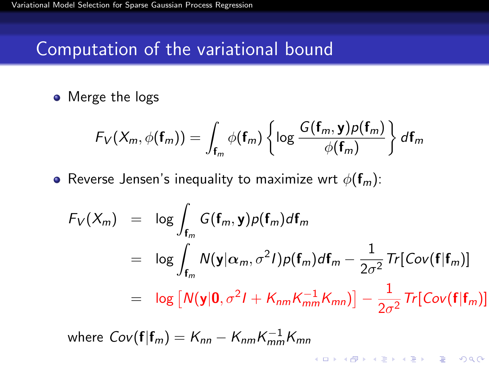#### Computation of the variational bound

• Merge the logs

$$
F_V(X_m, \phi(\mathbf{f}_m)) = \int_{\mathbf{f}_m} \phi(\mathbf{f}_m) \left\{ \log \frac{G(\mathbf{f}_m, \mathbf{y}) \rho(\mathbf{f}_m)}{\phi(\mathbf{f}_m)} \right\} d\mathbf{f}_m
$$

• Reverse Jensen's inequality to maximize wrt  $\phi(\mathbf{f}_m)$ :

$$
F_V(X_m) = \log \int_{\mathbf{f}_m} G(\mathbf{f}_m, \mathbf{y}) p(\mathbf{f}_m) d\mathbf{f}_m
$$
  
\n
$$
= \log \int_{\mathbf{f}_m} N(\mathbf{y} | \alpha_m, \sigma^2 I) p(\mathbf{f}_m) d\mathbf{f}_m - \frac{1}{2\sigma^2} Tr[ Cov(\mathbf{f} | \mathbf{f}_m)]
$$
  
\n
$$
= \log [N(\mathbf{y} | \mathbf{0}, \sigma^2 I + K_{nm} K_{mm}^{-1} K_{mn})] - \frac{1}{2\sigma^2} Tr[ Cov(\mathbf{f} | \mathbf{f}_m)]
$$

<span id="page-13-0"></span>where 
$$
Cov(\mathbf{f}|\mathbf{f}_m) = K_{nn} - K_{nm}K_{mm}^{-1}K_{mn}
$$

K ロ ▶ K @ ▶ K 할 > K 할 > 1 할 > 1 이익어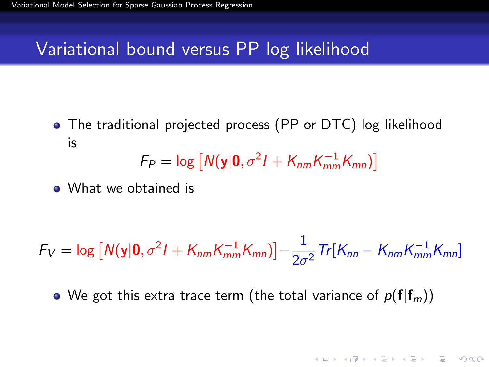#### Variational bound versus PP log likelihood

The traditional projected process (PP or DTC) log likelihood is

$$
F_P = \log \left[ N(\mathbf{y}|\mathbf{0}, \sigma^2 I + K_{nm} K_{mm}^{-1} K_{mn}) \right]
$$

• What we obtained is

$$
F_V = \log \left[ N(\mathbf{y}|\mathbf{0}, \sigma^2 I + K_{nm} K_{mm}^{-1} K_{mn}) \right] - \frac{1}{2\sigma^2} \text{Tr}[K_{nn} - K_{nm} K_{mm}^{-1} K_{mn}]
$$

• We got this extra trace term (the total variance of  $p(f|f_m)$ )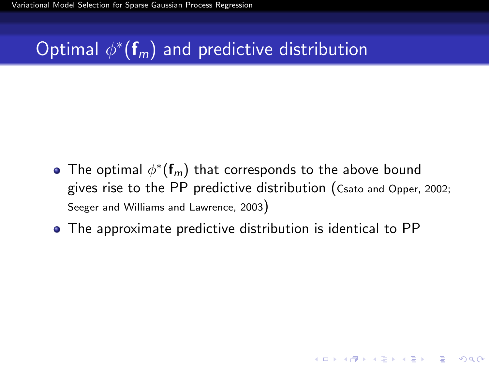# Optimal  $\phi^*(\mathbf{f}_m)$  and predictive distribution

The optimal  $\phi^*(\mathbf{f}_m)$  that corresponds to the above bound gives rise to the PP predictive distribution (Csato and Opper, 2002; Seeger and Williams and Lawrence, 2003)

**KORKAR KERKER EL VOLO** 

The approximate predictive distribution is identical to PP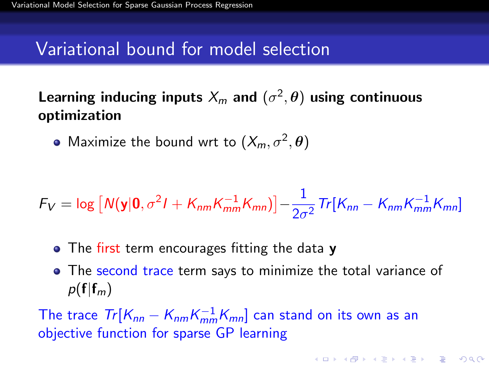#### Variational bound for model selection

Learning inducing inputs  $\lambda_m$  and  $(\sigma^2, \boldsymbol{\theta})$  using continuous optimization

Maximize the bound wrt to  $(X_m, \sigma^2, \theta)$ 

$$
F_V = \log \left[ N(\mathbf{y}|\mathbf{0}, \sigma^2 I + K_{nm} K_{mm}^{-1} K_{mn}) \right] - \frac{1}{2\sigma^2} \text{Tr}[K_{nn} - K_{nm} K_{mm}^{-1} K_{mn}]
$$

- The first term encourages fitting the data **y**
- The second trace term says to minimize the total variance of  $p(f|f_m)$

**KORKAR KERKER EL VOLO** 

The trace  $Tr[K_{nn} - K_{nm}K_{mm}^{-1}K_{mn}]$  can stand on its own as an objective function for sparse GP learning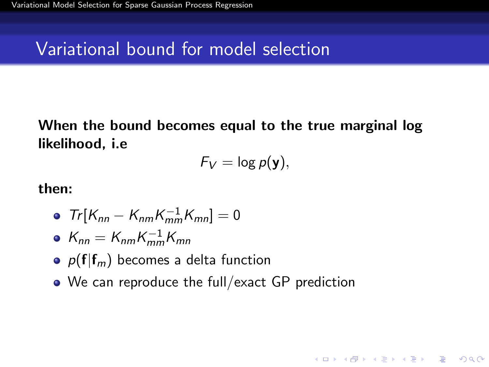### Variational bound for model selection

When the bound becomes equal to the true marginal log likelihood, i.e

$$
F_V = \log p(\mathbf{y}),
$$

**KORK ERKER ADE YOUR** 

then:

$$
\bullet \ \ Tr[K_{nn} - K_{nm}K_{mm}^{-1}K_{mn}] = 0
$$

$$
\bullet \ \ K_{nn} = K_{nm} K_{mm}^{-1} K_{mn}
$$

- $p(f|f_m)$  becomes a delta function
- We can reproduce the full/exact GP prediction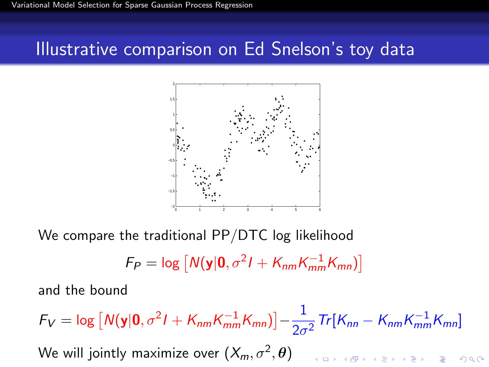#### Illustrative comparison on Ed Snelson's toy data



We compare the traditional PP/DTC log likelihood

$$
F_P = \log \left[ N(\mathbf{y}|\mathbf{0}, \sigma^2 I + K_{nm} K_{mm}^{-1} K_{mn}) \right]
$$

and the bound

 $F_V = \log \left[ N(\mathbf{y}|\mathbf{0}, \sigma^2 I + K_{nm} K_{mm}^{-1} K_{mn}) \right] - \frac{1}{2\sigma^2}$  $\frac{1}{2\sigma^2} Tr[K_{nn} - K_{nm}K_{mm}^{-1}K_{mn}]$ We will jointly maximize over  $(X_m,\sigma^2,\boldsymbol{\theta})$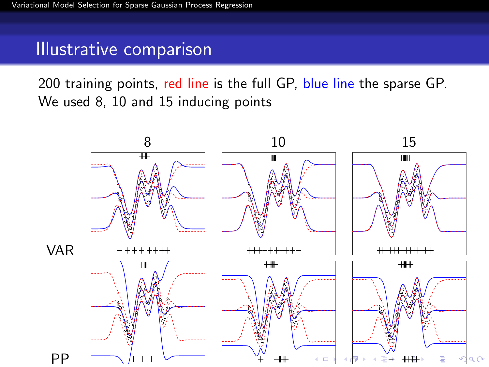200 training points, red line is the full GP, blue line the sparse GP. We used 8, 10 and 15 inducing points

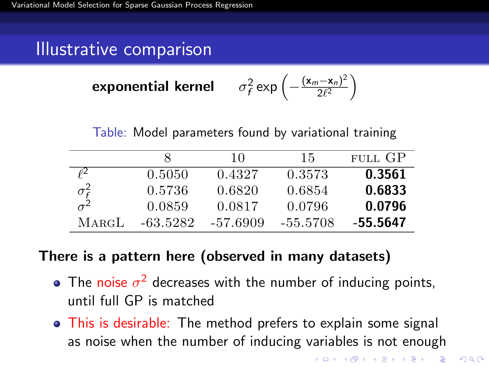**exponential Kernel** 
$$
\sigma_f^2 \exp\left(-\frac{(\mathbf{x}_m - \mathbf{x}_n)^2}{2\ell^2}\right)
$$

Table: Model parameters found by variational training

|                               |          | 10       | 15       | FULL GP  |
|-------------------------------|----------|----------|----------|----------|
| ρ2                            | 0.5050   | 0.4327   | 0.3573   | 0.3561   |
| $\frac{\sigma_f^2}{\sigma^2}$ | 0.5736   | 0.6820   | 0.6854   | 0.6833   |
|                               | 0.0859   | 0.0817   | 0.0796   | 0.0796   |
| $M$ argL                      | -63.5282 | -57.6909 | -55.5708 | -55.5647 |

#### There is a pattern here (observed in many datasets)

- The noise  $\sigma^2$  decreases with the number of inducing points, until full GP is matched
- <span id="page-20-0"></span>• This is desirable: The method prefers to explain some signal as noise when the number of inducing variables is not enough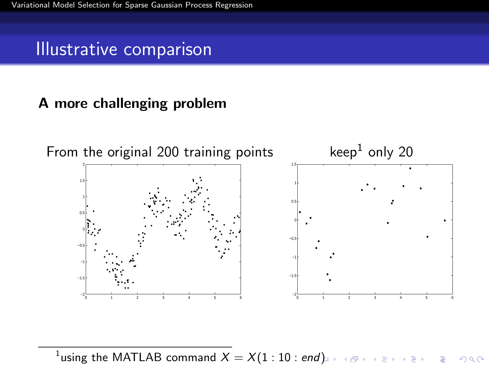#### A more challenging problem



 $^1$ using the MATLAB comma[nd](#page-20-0)  $X=X(1:10:end)$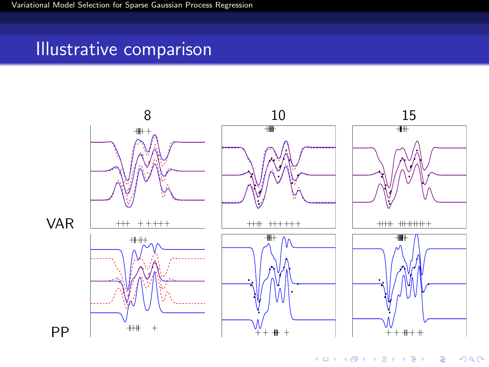<span id="page-22-0"></span>

イロト イ部 トイモト イモ  $290$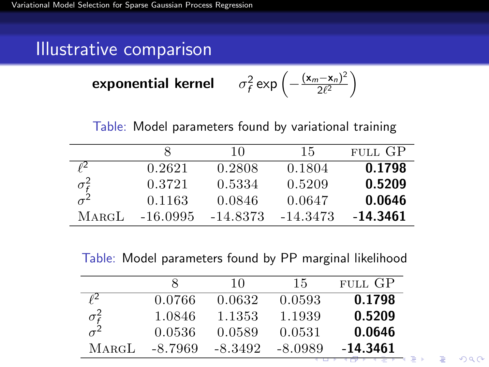**exponential kernel** 
$$
\sigma_f^2 \exp\left(-\frac{(\mathbf{x}_m - \mathbf{x}_n)^2}{2\ell^2}\right)
$$

Table: Model parameters found by variational training

|                               |            | 10         | 15       | FULL GP  |
|-------------------------------|------------|------------|----------|----------|
| f2                            | 0.2621     | 0.2808     | 0.1804   | 0.1798   |
| $\frac{\sigma_f^2}{\sigma^2}$ | 0.3721     | 0.5334     | 0.5209   | 0.5209   |
|                               | 0.1163     | 0.0846     | 0.0647   | 0.0646   |
| $M$ ARGL                      | $-16.0995$ | $-14.8373$ | -14.3473 | -14.3461 |

Table: Model parameters found by PP marginal likelihood

<span id="page-23-0"></span>

|                    |         | 10      | 15      | FULL GP  |
|--------------------|---------|---------|---------|----------|
| OZ.                | 0.0766  | 0.0632  | 0.0593  | 0.1798   |
| $\sigma_{\rm f}^2$ | 1.0846  | 1.1353  | 1.1939  | 0.5209   |
| $\sigma^2$         | 0.0536  | 0.0589  | 0.0531  | 0.0646   |
| MARGL              | -8.7969 | -8.3492 | -8.0989 | -14.3461 |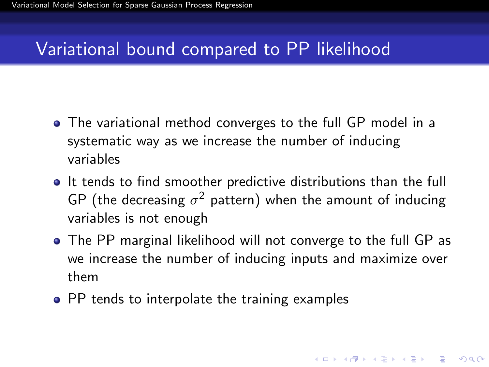### Variational bound compared to PP likelihood

- The variational method converges to the full GP model in a systematic way as we increase the number of inducing variables
- **If** tends to find smoother predictive distributions than the full GP (the decreasing  $\sigma^2$  pattern) when the amount of inducing variables is not enough
- The PP marginal likelihood will not converge to the full GP as we increase the number of inducing inputs and maximize over them

4 D > 4 P + 4 B + 4 B + B + 9 Q O

<span id="page-24-0"></span>• PP tends to interpolate the training examples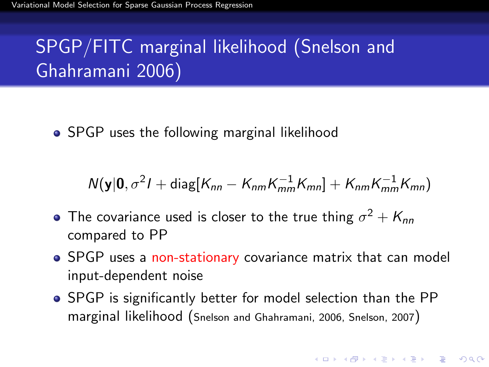# SPGP/FITC marginal likelihood (Snelson and Ghahramani 2006)

• SPGP uses the following marginal likelihood

$$
N(\mathbf{y}|\mathbf{0},\sigma^2 I+\mathrm{diag}[K_{nn}-K_{nm}K_{mm}^{-1}K_{mn}]+K_{nm}K_{mm}^{-1}K_{mn})
$$

- The covariance used is closer to the true thing  $\sigma^2 + K_{nn}$ compared to PP
- SPGP uses a non-stationary covariance matrix that can model input-dependent noise
- SPGP is significantly better for model selection than the PP marginal likelihood (Snelson and Ghahramani, 2006, Snelson, 2007)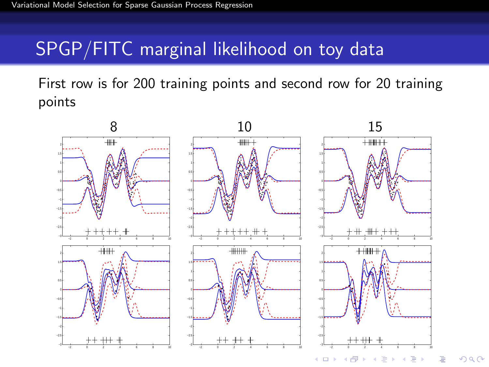### SPGP/FITC marginal likelihood on toy data

First row is for 200 training points and second row for 20 training points



 $\Omega$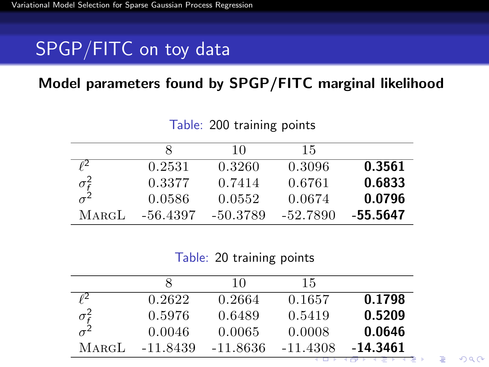# SPGP/FITC on toy data

#### Model parameters found by SPGP/FITC marginal likelihood

|                               |          | 10       | 15       |          |
|-------------------------------|----------|----------|----------|----------|
| $\ell^2$                      | 0.2531   | 0.3260   | 0.3096   | 0.3561   |
| $\frac{\sigma_f^2}{\sigma^2}$ | 0.3377   | 0.7414   | 0.6761   | 0.6833   |
|                               | 0.0586   | 0.0552   | 0.0674   | 0.0796   |
| MARGL                         | -56.4397 | -50.3789 | -52.7890 | -55.5647 |

Table: 200 training points

Table: 20 training points

<span id="page-27-0"></span>

|              |          | 10       | 15         |          |
|--------------|----------|----------|------------|----------|
|              | 0.2622   | 0.2664   | 0.1657     | 0.1798   |
| $\sigma_f^2$ | 0.5976   | 0.6489   | 0.5419     | 0.5209   |
| $\sigma^2$   | 0.0046   | 0.0065   | 0.0008     | 0.0646   |
| <b>MARGL</b> | -11.8439 | -11.8636 | $-11.4308$ | -14.3461 |

 $2990$ 

G.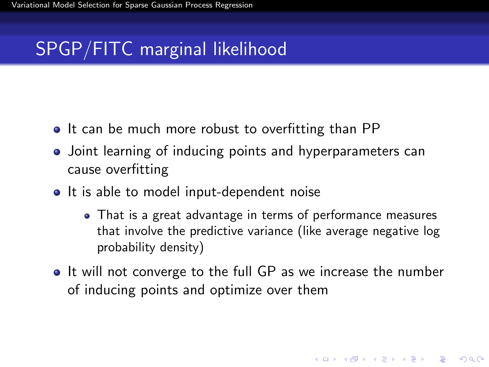### SPGP/FITC marginal likelihood

- It can be much more robust to overfitting than PP
- Joint learning of inducing points and hyperparameters can cause overfitting
- It is able to model input-dependent noise
	- That is a great advantage in terms of performance measures that involve the predictive variance (like average negative log probability density)

**KORKAR KERKER EL VOLO** 

<span id="page-28-0"></span>• It will not converge to the full GP as we increase the number of inducing points and optimize over them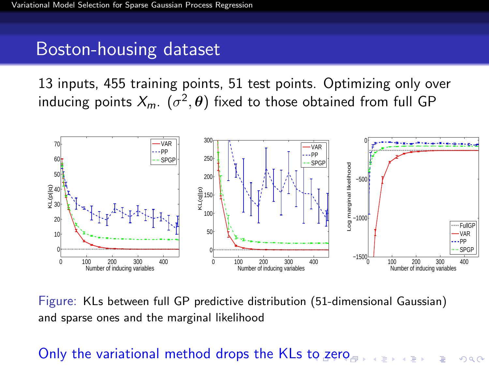#### Boston-housing dataset

13 inputs, 455 training points, 51 test points. Optimizing only over inducing points  $\mathcal{X}_m$ .  $(\sigma^2, \boldsymbol{\theta})$  fixed to those obtained from full GP



Figure: KLs between full GP predictive distribution (51-dimensional Gaussian) and sparse ones and the marginal likelihood

#### <span id="page-29-0"></span>Only the variational method drops the KLs [to](#page-28-0) [zer](#page-30-0)[o](#page-28-0)ds on the state on  $\infty$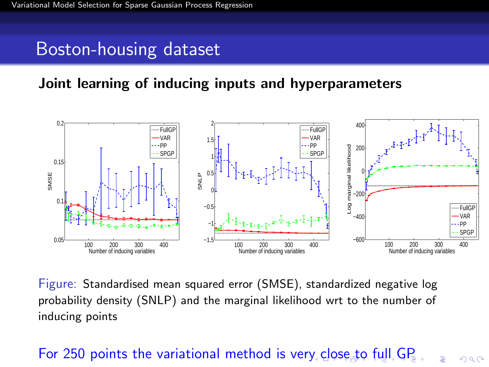#### Boston-housing dataset

#### Joint learning of inducing inputs and hyperparameters



Figure: Standardised mean squared error (SMSE), standardized negative log probability density (SNLP) and the marginal likelihood wrt to the number of inducing points

#### <span id="page-30-0"></span>For 250 points the variational method is ver[y c](#page-29-0)[lo](#page-31-0)[se](#page-29-0) [t](#page-30-0)[o](#page-31-0) [fu](#page-0-0)[ll](#page-40-0) [GP](#page-0-0)

 $\Omega$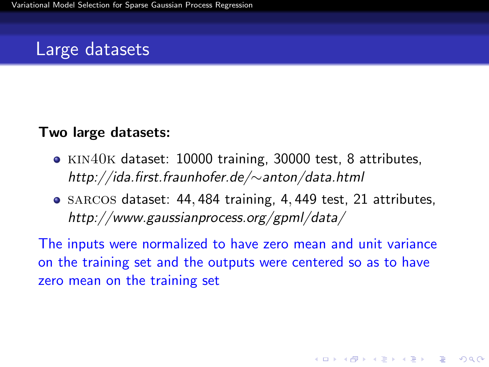#### Large datasets

#### Two large datasets:

- KIN40K dataset: 10000 training, 30000 test, 8 attributes, http://ida.first.fraunhofer.de/∼anton/data.html
- SARCOS dataset: 44, 484 training, 4, 449 test, 21 attributes, http://www.gaussianprocess.org/gpml/data/

<span id="page-31-0"></span>The inputs were normalized to have zero mean and unit variance on the training set and the outputs were centered so as to have zero mean on the training set

**KORKAR KERKER EL VOLO**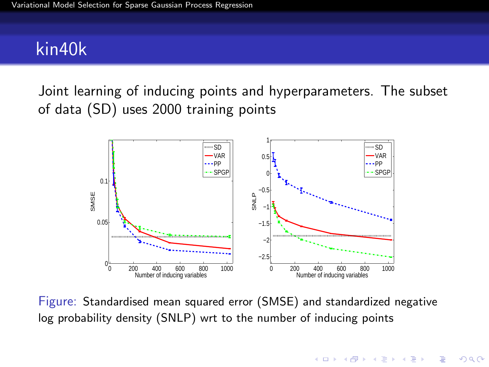#### kin40k

Joint learning of inducing points and hyperparameters. The subset of data (SD) uses 2000 training points



Figure: Standardised mean squared error (SMSE) and standardized negative log probability density (SNLP) wrt to the number of inducing points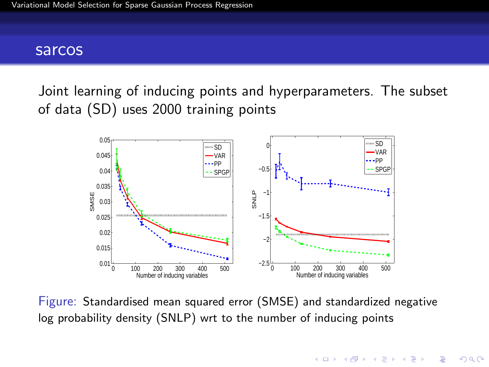#### sarcos

Joint learning of inducing points and hyperparameters. The subset of data (SD) uses 2000 training points



Figure: Standardised mean squared error (SMSE) and standardized negative log probability density (SNLP) wrt to the number of inducing points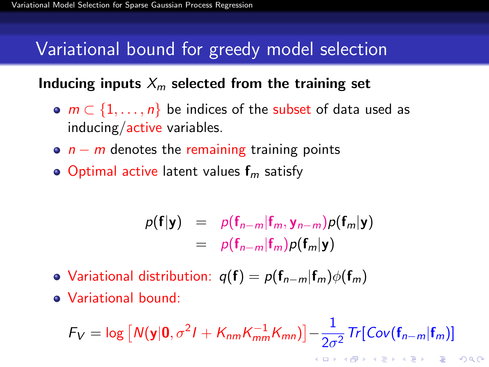### Variational bound for greedy model selection

#### Inducing inputs  $X_m$  selected from the training set

- $m \in \{1, \ldots, n\}$  be indices of the subset of data used as inducing/active variables.
- $n m$  denotes the remaining training points
- Optimal active latent values  $f_m$  satisfy

$$
p(\mathbf{f}|\mathbf{y}) = p(\mathbf{f}_{n-m}|\mathbf{f}_m, \mathbf{y}_{n-m})p(\mathbf{f}_m|\mathbf{y})
$$
  
=  $p(\mathbf{f}_{n-m}|\mathbf{f}_m)p(\mathbf{f}_m|\mathbf{y})$ 

- Variational distribution:  $q(f) = p(f_{n-m}|f_m)\phi(f_m)$
- Variational bound:

<span id="page-34-0"></span>
$$
F_V = \log \left[ N(\mathbf{y}|\mathbf{0}, \sigma^2 I + K_{nm} K_{mm}^{-1} K_{mn}) \right] - \frac{1}{2\sigma^2} Tr[Cov(\mathbf{f}_{n-m}|\mathbf{f}_m)]
$$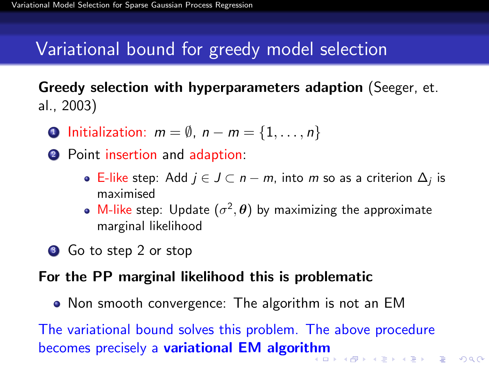### Variational bound for greedy model selection

Greedy selection with hyperparameters adaption (Seeger, et. al., 2003)

- **1** Initialization:  $m = \emptyset$ ,  $n m = \{1, \ldots, n\}$
- **2** Point insertion and adaption:
	- E-like step: Add  $j \in J \subset n-m$ , into  $m$  so as a criterion  $\Delta_j$  is maximised
	- M-like step: Update  $(\sigma^2, \theta)$  by maximizing the approximate marginal likelihood
- **3** Go to step 2 or stop

#### For the PP marginal likelihood this is problematic

• Non smooth convergence: The algorithm is not an EM

The variational bound solves this problem. The above procedure becomes precisely a **variational EM algorit[hm](#page-34-0)**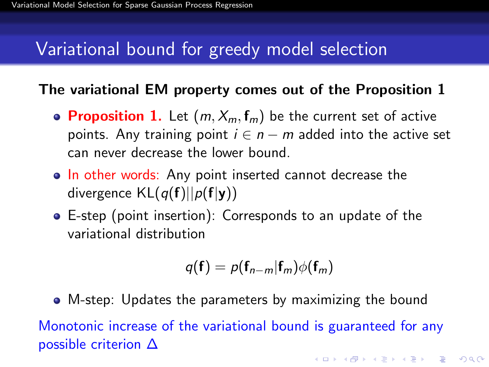### Variational bound for greedy model selection

#### The variational EM property comes out of the Proposition 1

- Proposition 1. Let  $(m, X_m, f_m)$  be the current set of active points. Any training point  $i \in n - m$  added into the active set can never decrease the lower bound.
- In other words: Any point inserted cannot decrease the divergence  $KL(q(f)||p(f|y))$
- E-step (point insertion): Corresponds to an update of the variational distribution

$$
q(\mathbf{f})=p(\mathbf{f}_{n-m}|\mathbf{f}_m)\phi(\mathbf{f}_m)
$$

<span id="page-36-0"></span>M-step: Updates the parameters by maximizing the bound Monotonic increase of the variational bound is guaranteed for any possible criterion ∆KID KA KERKER E VOOR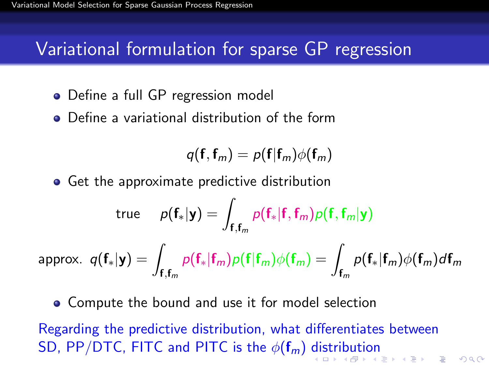### Variational formulation for sparse GP regression

- Define a full GP regression model
- Define a variational distribution of the form

$$
q(\mathbf{f}, \mathbf{f}_m) = p(\mathbf{f} | \mathbf{f}_m) \phi(\mathbf{f}_m)
$$

**•** Get the approximate predictive distribution

$$
\text{true} \hspace{0.5cm} \rho(\mathbf{f}_*|\mathbf{y}) = \int_{\mathbf{f}, \mathbf{f}_m} \rho(\mathbf{f}_*|\mathbf{f}, \mathbf{f}_m) \rho(\mathbf{f}, \mathbf{f}_m|\mathbf{y})
$$

$$
\text{approx. } q(\mathbf{f}_*|\mathbf{y}) = \int_{\mathbf{f}, \mathbf{f}_m} p(\mathbf{f}_*|\mathbf{f}_m) p(\mathbf{f}|\mathbf{f}_m) \phi(\mathbf{f}_m) = \int_{\mathbf{f}_m} p(\mathbf{f}_*|\mathbf{f}_m) \phi(\mathbf{f}_m) d\mathbf{f}_m
$$

Compute the bound and use it for model selection

<span id="page-37-0"></span>Regarding the predictive distribution, what differentiates between SD, PP/DTC, FITC and PITC [i](#page-38-0)s the  $\phi(\mathbf{f}_m)$  $\phi(\mathbf{f}_m)$  $\phi(\mathbf{f}_m)$  [di](#page-36-0)s[tri](#page-38-0)b[ut](#page-37-0)i[on](#page-0-0)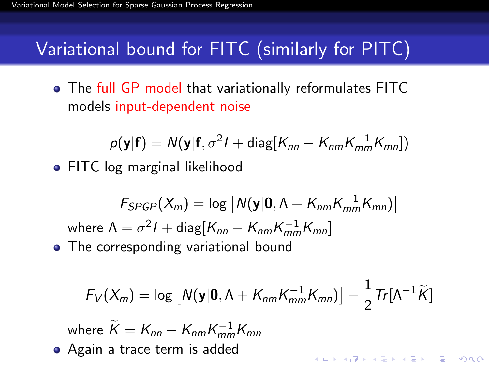$\bullet$ 

### Variational bound for FITC (similarly for PITC)

The full GP model that variationally reformulates FITC models input-dependent noise

$$
p(\mathbf{y}|\mathbf{f}) = N(\mathbf{y}|\mathbf{f}, \sigma^2 I + \text{diag}[K_{nn} - K_{nm}K_{mm}^{-1}K_{mn}])
$$
  
FITC log marginal likelihood

 $\mathcal{F}_{SPGP}(X_m) = \log \left[ N(\textbf{y}|\textbf{0}, \Lambda + K_{nm}K_{mm}^{-1}K_{mn}) \right]$ where  $\Lambda = \sigma^2 I + \mathsf{diag} [ K_{nn} - K_{nm} K_{mm}^{-1} K_{mn} ]$ • The corresponding variational bound

$$
F_V(X_m) = \log \left[ N(\mathbf{y}|\mathbf{0}, \Lambda + K_{nm}K_{mm}^{-1}K_{mn}) \right] - \frac{1}{2}Tr[\Lambda^{-1}\widetilde{K}]
$$

where  $\widetilde{K} = K_{nn} - K_{nm} K_{mm}^{-1} K_{mn}$ 

<span id="page-38-0"></span>Again a trace term is added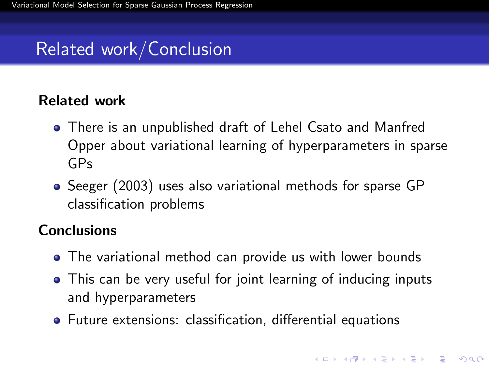# Related work/Conclusion

#### Related work

- There is an unpublished draft of Lehel Csato and Manfred Opper about variational learning of hyperparameters in sparse GPs
- Seeger (2003) uses also variational methods for sparse GP classification problems

#### **Conclusions**

- The variational method can provide us with lower bounds
- This can be very useful for joint learning of inducing inputs and hyperparameters
- Future extensions: classification, differential equations